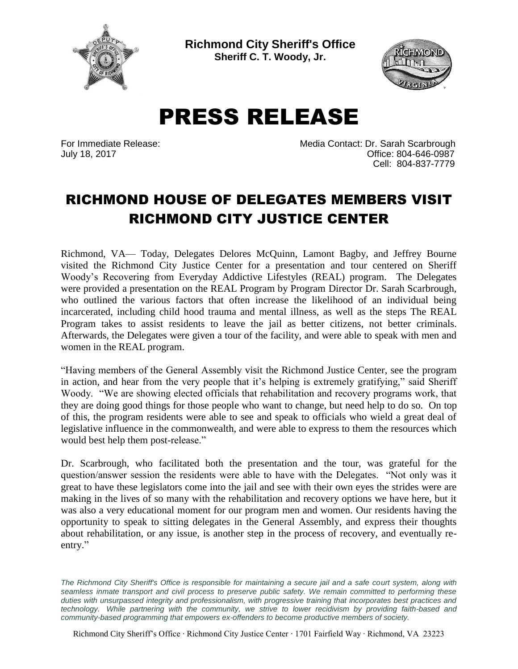

**Richmond City Sheriff's Office Sheriff C. T. Woody, Jr.**



PRESS RELEASE

For Immediate Release: Media Contact: Dr. Sarah Scarbrough July 18, 2017 Office: 804-646-0987 Cell: 804-837-7779

## RICHMOND HOUSE OF DELEGATES MEMBERS VISIT RICHMOND CITY JUSTICE CENTER

Richmond, VA— Today, Delegates Delores McQuinn, Lamont Bagby, and Jeffrey Bourne visited the Richmond City Justice Center for a presentation and tour centered on Sheriff Woody's Recovering from Everyday Addictive Lifestyles (REAL) program. The Delegates were provided a presentation on the REAL Program by Program Director Dr. Sarah Scarbrough, who outlined the various factors that often increase the likelihood of an individual being incarcerated, including child hood trauma and mental illness, as well as the steps The REAL Program takes to assist residents to leave the jail as better citizens, not better criminals. Afterwards, the Delegates were given a tour of the facility, and were able to speak with men and women in the REAL program.

"Having members of the General Assembly visit the Richmond Justice Center, see the program in action, and hear from the very people that it's helping is extremely gratifying," said Sheriff Woody. "We are showing elected officials that rehabilitation and recovery programs work, that they are doing good things for those people who want to change, but need help to do so. On top of this, the program residents were able to see and speak to officials who wield a great deal of legislative influence in the commonwealth, and were able to express to them the resources which would best help them post-release."

Dr. Scarbrough, who facilitated both the presentation and the tour, was grateful for the question/answer session the residents were able to have with the Delegates. "Not only was it great to have these legislators come into the jail and see with their own eyes the strides were are making in the lives of so many with the rehabilitation and recovery options we have here, but it was also a very educational moment for our program men and women. Our residents having the opportunity to speak to sitting delegates in the General Assembly, and express their thoughts about rehabilitation, or any issue, is another step in the process of recovery, and eventually reentry."

The Richmond City Sheriff's Office is responsible for maintaining a secure jail and a safe court system, along with *seamless inmate transport and civil process to preserve public safety. We remain committed to performing these duties with unsurpassed integrity and professionalism, with progressive training that incorporates best practices and technology. While partnering with the community, we strive to lower recidivism by providing faith-based and community-based programming that empowers ex-offenders to become productive members of society.*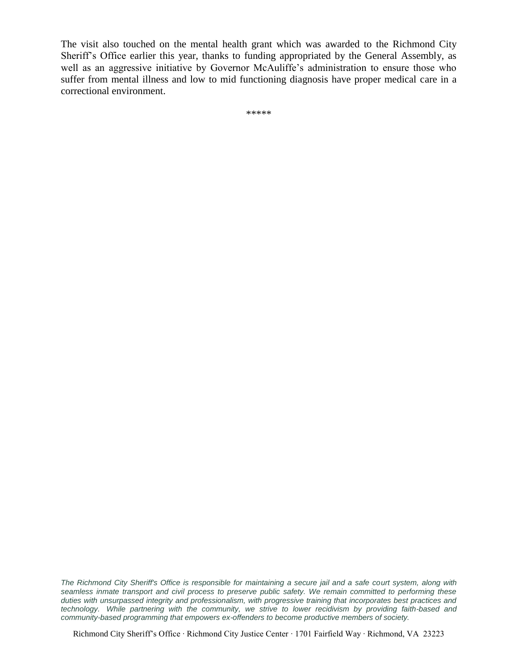The visit also touched on the mental health grant which was awarded to the Richmond City Sheriff's Office earlier this year, thanks to funding appropriated by the General Assembly, as well as an aggressive initiative by Governor McAuliffe's administration to ensure those who suffer from mental illness and low to mid functioning diagnosis have proper medical care in a correctional environment.

\*\*\*\*\*

The Richmond City Sheriff's Office is responsible for maintaining a secure jail and a safe court system, along with *seamless inmate transport and civil process to preserve public safety. We remain committed to performing these duties with unsurpassed integrity and professionalism, with progressive training that incorporates best practices and technology. While partnering with the community, we strive to lower recidivism by providing faith-based and community-based programming that empowers ex-offenders to become productive members of society.*